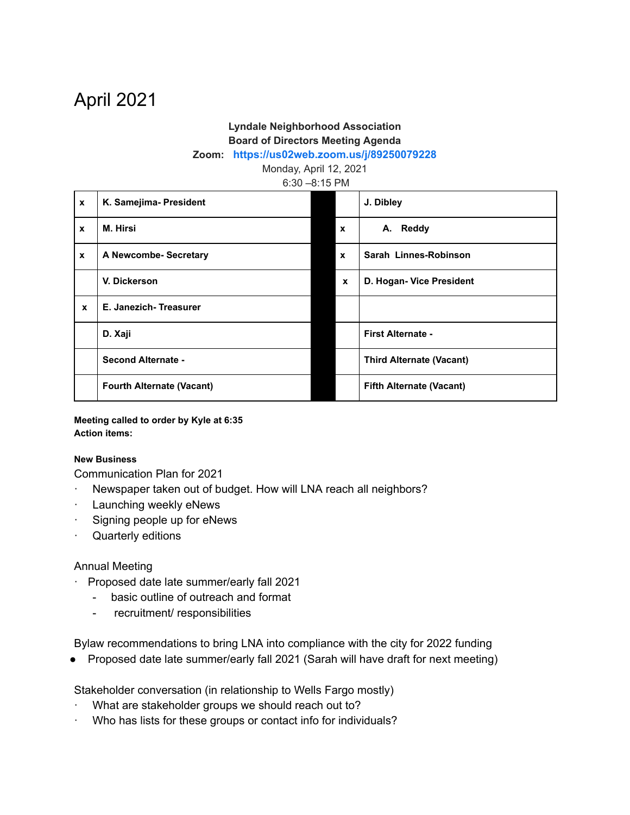# April 2021

## **Lyndale Neighborhood Association Board of Directors Meeting Agenda**

#### **Zoom: <https://us02web.zoom.us/j/89250079228>**

Monday, April 12, 2021

6:30 –8:15 PM

| $\mathbf{x}$ | K. Samejima- President           |              | J. Dibley                       |
|--------------|----------------------------------|--------------|---------------------------------|
| X            | M. Hirsi                         | $\mathbf{x}$ | A. Reddy                        |
| $\mathbf x$  | A Newcombe- Secretary            | $\mathbf{x}$ | Sarah Linnes-Robinson           |
|              | V. Dickerson                     | $\mathbf{x}$ | D. Hogan- Vice President        |
| $\mathbf{x}$ | E. Janezich-Treasurer            |              |                                 |
|              | D. Xaji                          |              | First Alternate -               |
|              | <b>Second Alternate -</b>        |              | <b>Third Alternate (Vacant)</b> |
|              | <b>Fourth Alternate (Vacant)</b> |              | <b>Fifth Alternate (Vacant)</b> |

**Meeting called to order by Kyle at 6:35 Action items:**

#### **New Business**

Communication Plan for 2021

- Newspaper taken out of budget. How will LNA reach all neighbors?
- · Launching weekly eNews
- Signing people up for eNews
- · Quarterly editions

### Annual Meeting

- · Proposed date late summer/early fall 2021
	- basic outline of outreach and format
	- recruitment/ responsibilities

Bylaw recommendations to bring LNA into compliance with the city for 2022 funding

● Proposed date late summer/early fall 2021 (Sarah will have draft for next meeting)

Stakeholder conversation (in relationship to Wells Fargo mostly)

- What are stakeholder groups we should reach out to?
- Who has lists for these groups or contact info for individuals?